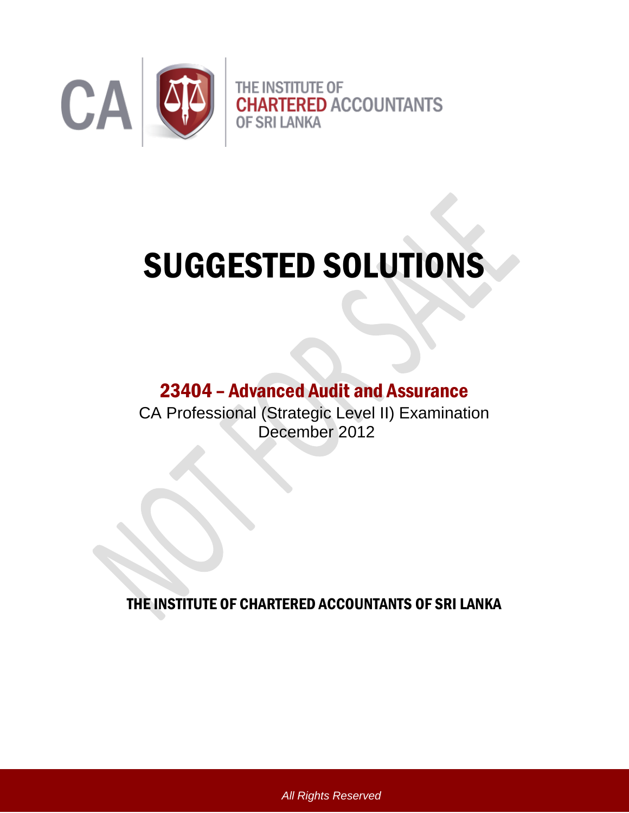

# SUGGESTED SOLUTIONS

# 23404 – Advanced Audit and Assurance

CA Professional (Strategic Level II) Examination December 2012

THE INSTITUTE OF CHARTERED ACCOUNTANTS OF SRI LANKA

*All Rights Reserved*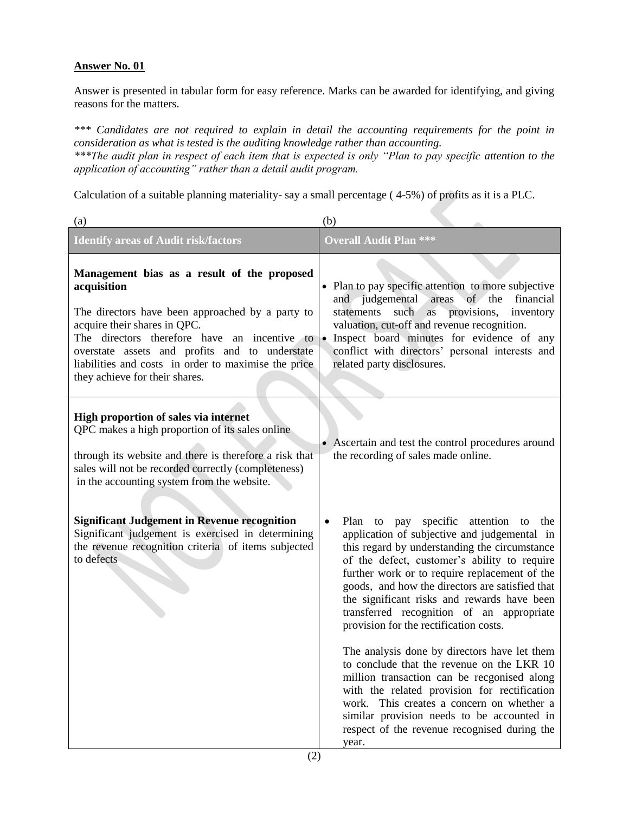Answer is presented in tabular form for easy reference. Marks can be awarded for identifying, and giving reasons for the matters.

*\*\*\* Candidates are not required to explain in detail the accounting requirements for the point in consideration as what is tested is the auditing knowledge rather than accounting. \*\*\*The audit plan in respect of each item that is expected is only "Plan to pay specific attention to the* 

*application of accounting" rather than a detail audit program.*

Calculation of a suitable planning materiality- say a small percentage ( 4-5%) of profits as it is a PLC.

| (a)                                                                                                                                                                                                                                                                                                                                        | (b)                                                                                                                                                                                                                                                                                                                                                                                                                                                                                                                                                                                                                                                                                                                                                                                                                 |
|--------------------------------------------------------------------------------------------------------------------------------------------------------------------------------------------------------------------------------------------------------------------------------------------------------------------------------------------|---------------------------------------------------------------------------------------------------------------------------------------------------------------------------------------------------------------------------------------------------------------------------------------------------------------------------------------------------------------------------------------------------------------------------------------------------------------------------------------------------------------------------------------------------------------------------------------------------------------------------------------------------------------------------------------------------------------------------------------------------------------------------------------------------------------------|
| <b>Identify areas of Audit risk/factors</b>                                                                                                                                                                                                                                                                                                | <b>Overall Audit Plan ***</b>                                                                                                                                                                                                                                                                                                                                                                                                                                                                                                                                                                                                                                                                                                                                                                                       |
| Management bias as a result of the proposed<br>acquisition<br>The directors have been approached by a party to<br>acquire their shares in QPC.<br>The directors therefore have an incentive to<br>overstate assets and profits and to understate<br>liabilities and costs in order to maximise the price<br>they achieve for their shares. | • Plan to pay specific attention to more subjective<br>judgemental<br>of the<br>areas<br>financial<br>and<br>such<br>provisions,<br>inventory<br>statements<br>as<br>valuation, cut-off and revenue recognition.<br>· Inspect board minutes for evidence of any<br>conflict with directors' personal interests and<br>related party disclosures.                                                                                                                                                                                                                                                                                                                                                                                                                                                                    |
| High proportion of sales via internet<br>QPC makes a high proportion of its sales online<br>through its website and there is therefore a risk that<br>sales will not be recorded correctly (completeness)<br>in the accounting system from the website.                                                                                    | • Ascertain and test the control procedures around<br>the recording of sales made online.                                                                                                                                                                                                                                                                                                                                                                                                                                                                                                                                                                                                                                                                                                                           |
| <b>Significant Judgement in Revenue recognition</b><br>Significant judgement is exercised in determining<br>the revenue recognition criteria of items subjected<br>to defects                                                                                                                                                              | specific<br>attention<br>Plan<br>to<br>pay<br>to<br>the<br>$\bullet$<br>application of subjective and judgemental in<br>this regard by understanding the circumstance<br>of the defect, customer's ability to require<br>further work or to require replacement of the<br>goods, and how the directors are satisfied that<br>the significant risks and rewards have been<br>transferred recognition of an appropriate<br>provision for the rectification costs.<br>The analysis done by directors have let them<br>to conclude that the revenue on the LKR 10<br>million transaction can be recgonised along<br>with the related provision for rectification<br>This creates a concern on whether a<br>work.<br>similar provision needs to be accounted in<br>respect of the revenue recognised during the<br>year. |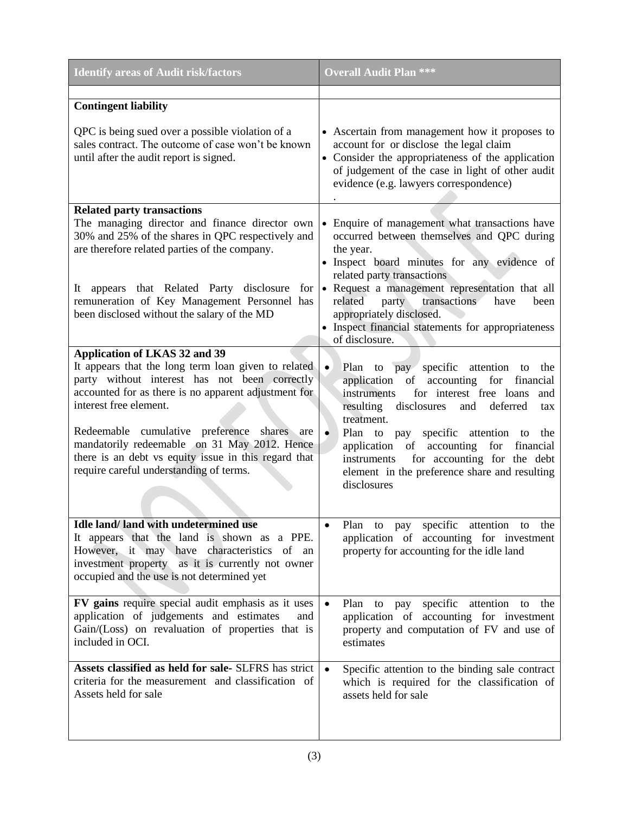| <b>Identify areas of Audit risk/factors</b>                                                                                                                                                                                                                                                                                                                                                                                      | <b>Overall Audit Plan ***</b>                                                                                                                                                                                                                                                                                                                                                                                                                       |
|----------------------------------------------------------------------------------------------------------------------------------------------------------------------------------------------------------------------------------------------------------------------------------------------------------------------------------------------------------------------------------------------------------------------------------|-----------------------------------------------------------------------------------------------------------------------------------------------------------------------------------------------------------------------------------------------------------------------------------------------------------------------------------------------------------------------------------------------------------------------------------------------------|
| <b>Contingent liability</b>                                                                                                                                                                                                                                                                                                                                                                                                      |                                                                                                                                                                                                                                                                                                                                                                                                                                                     |
| QPC is being sued over a possible violation of a<br>sales contract. The outcome of case won't be known<br>until after the audit report is signed.                                                                                                                                                                                                                                                                                | • Ascertain from management how it proposes to<br>account for or disclose the legal claim<br>• Consider the appropriateness of the application<br>of judgement of the case in light of other audit<br>evidence (e.g. lawyers correspondence)                                                                                                                                                                                                        |
| <b>Related party transactions</b><br>The managing director and finance director own<br>30% and 25% of the shares in QPC respectively and<br>are therefore related parties of the company.<br>It appears that Related Party disclosure<br>for<br>remuneration of Key Management Personnel has<br>been disclosed without the salary of the MD                                                                                      | • Enquire of management what transactions have<br>occurred between themselves and QPC during<br>the year.<br>• Inspect board minutes for any evidence of<br>related party transactions<br>• Request a management representation that all<br>related<br>party<br>transactions<br>have<br>been<br>appropriately disclosed.<br>• Inspect financial statements for appropriateness<br>of disclosure.                                                    |
| <b>Application of LKAS 32 and 39</b><br>It appears that the long term loan given to related<br>party without interest has not been correctly<br>accounted for as there is no apparent adjustment for<br>interest free element.<br>Redeemable cumulative preference shares are<br>mandatorily redeemable on 31 May 2012. Hence<br>there is an debt vs equity issue in this regard that<br>require careful understanding of terms. | Plan to pay specific attention to<br>$\bullet$<br>the<br>application of accounting<br>for<br>financial<br>for interest free loans<br>instruments<br>and<br>disclosures<br>resulting<br>deferred<br>and<br>tax<br>treatment.<br>$\bullet$<br>Plan to pay specific attention to<br>the<br>application of accounting<br>for<br>financial<br>for accounting for the debt<br>instruments<br>element in the preference share and resulting<br>disclosures |
| Idle land/land with undetermined use<br>It appears that the land is shown as a PPE.<br>However, it may have characteristics of an<br>investment property as it is currently not owner<br>occupied and the use is not determined yet                                                                                                                                                                                              | Plan to pay specific attention to<br>the<br>application of accounting for investment<br>property for accounting for the idle land                                                                                                                                                                                                                                                                                                                   |
| FV gains require special audit emphasis as it uses<br>application of judgements and estimates<br>and<br>Gain/(Loss) on revaluation of properties that is<br>included in OCI.                                                                                                                                                                                                                                                     | Plan to pay specific<br>attention to<br>$\bullet$<br>the<br>application of accounting for investment<br>property and computation of FV and use of<br>estimates                                                                                                                                                                                                                                                                                      |
| Assets classified as held for sale- SLFRS has strict<br>criteria for the measurement and classification of<br>Assets held for sale                                                                                                                                                                                                                                                                                               | Specific attention to the binding sale contract<br>which is required for the classification of<br>assets held for sale                                                                                                                                                                                                                                                                                                                              |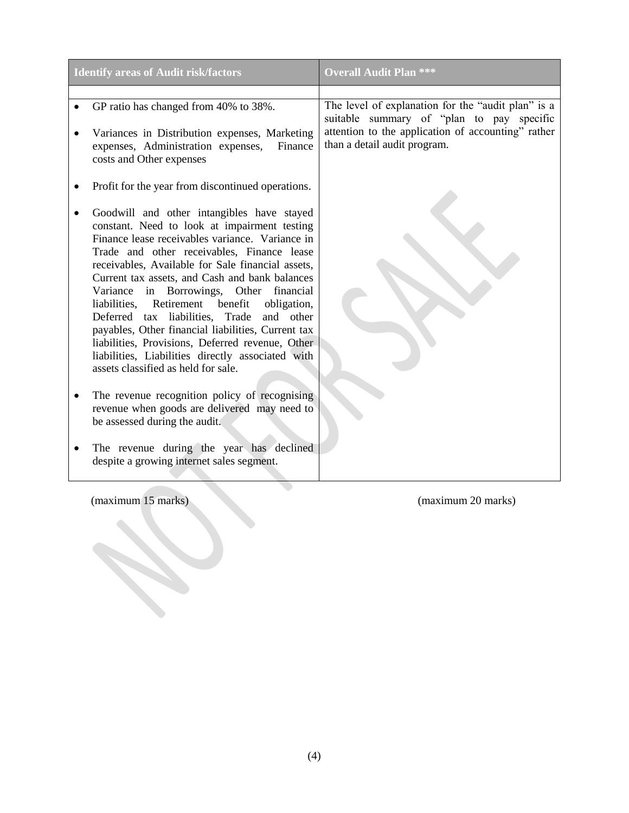| <b>Identify areas of Audit risk/factors</b>                                                                                                                                                                                                                                                                                                                                                                                                                                                                                                                                                                                                                                                                                                                                                                                                                                         | <b>Overall Audit Plan ***</b>                                                                                                                                                         |
|-------------------------------------------------------------------------------------------------------------------------------------------------------------------------------------------------------------------------------------------------------------------------------------------------------------------------------------------------------------------------------------------------------------------------------------------------------------------------------------------------------------------------------------------------------------------------------------------------------------------------------------------------------------------------------------------------------------------------------------------------------------------------------------------------------------------------------------------------------------------------------------|---------------------------------------------------------------------------------------------------------------------------------------------------------------------------------------|
|                                                                                                                                                                                                                                                                                                                                                                                                                                                                                                                                                                                                                                                                                                                                                                                                                                                                                     |                                                                                                                                                                                       |
| GP ratio has changed from 40% to 38%.<br>Variances in Distribution expenses, Marketing<br>expenses, Administration expenses,<br>Finance<br>costs and Other expenses                                                                                                                                                                                                                                                                                                                                                                                                                                                                                                                                                                                                                                                                                                                 | The level of explanation for the "audit plan" is a<br>suitable summary of "plan to pay specific<br>attention to the application of accounting" rather<br>than a detail audit program. |
| Profit for the year from discontinued operations.                                                                                                                                                                                                                                                                                                                                                                                                                                                                                                                                                                                                                                                                                                                                                                                                                                   |                                                                                                                                                                                       |
| Goodwill and other intangibles have stayed<br>constant. Need to look at impairment testing<br>Finance lease receivables variance. Variance in<br>Trade and other receivables, Finance lease<br>receivables, Available for Sale financial assets,<br>Current tax assets, and Cash and bank balances<br>Variance in Borrowings, Other financial<br>Retirement benefit<br>obligation,<br>liabilities,<br>Deferred tax liabilities, Trade<br>and other<br>payables, Other financial liabilities, Current tax<br>liabilities, Provisions, Deferred revenue, Other<br>liabilities, Liabilities directly associated with<br>assets classified as held for sale.<br>The revenue recognition policy of recognising<br>revenue when goods are delivered may need to<br>be assessed during the audit.<br>The revenue during the year has declined<br>despite a growing internet sales segment. |                                                                                                                                                                                       |
| (maximum 15 marks)                                                                                                                                                                                                                                                                                                                                                                                                                                                                                                                                                                                                                                                                                                                                                                                                                                                                  | (maximum 20 marks)                                                                                                                                                                    |
|                                                                                                                                                                                                                                                                                                                                                                                                                                                                                                                                                                                                                                                                                                                                                                                                                                                                                     |                                                                                                                                                                                       |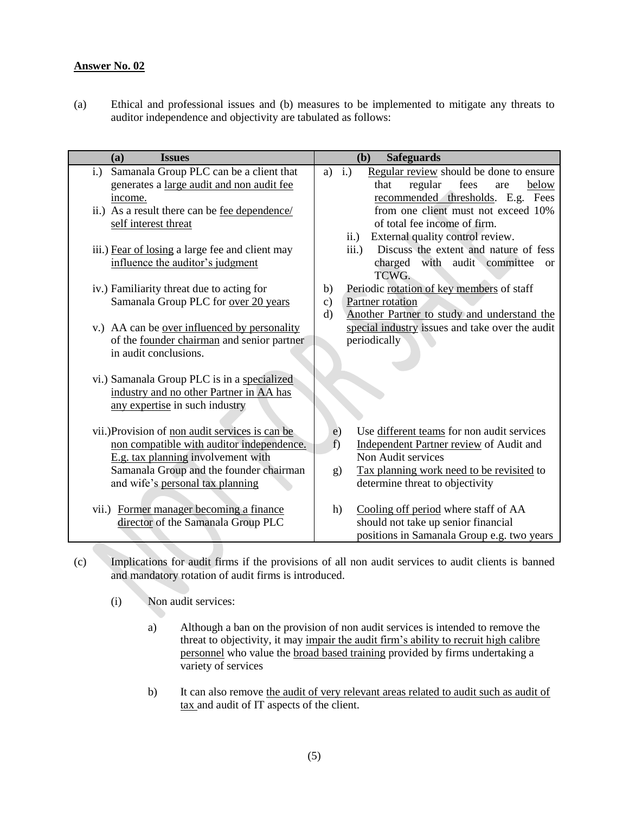(a) Ethical and professional issues and (b) measures to be implemented to mitigate any threats to auditor independence and objectivity are tabulated as follows:

| <b>Issues</b><br>(a)                                | (b)<br><b>Safeguards</b>                                        |
|-----------------------------------------------------|-----------------------------------------------------------------|
| Samanala Group PLC can be a client that<br>$i$ .    | Regular review should be done to ensure<br>$\mathbf{i}$ .<br>a) |
| generates a large audit and non audit fee           | regular<br>fees<br>that<br>below<br>are                         |
| income.                                             | recommended thresholds. E.g. Fees                               |
| ii.) As a result there can be <u>fee dependence</u> | from one client must not exceed 10%                             |
| self interest threat                                | of total fee income of firm.                                    |
|                                                     | External quality control review.<br>$\ddot{\mathbf{i}}$ .)      |
| iii.) Fear of losing a large fee and client may     | Discuss the extent and nature of fess<br>iii.)                  |
| influence the auditor's judgment                    | charged with audit committee<br><b>or</b>                       |
|                                                     | TCWG.                                                           |
| iv.) Familiarity threat due to acting for           | Periodic rotation of key members of staff<br>b)                 |
| Samanala Group PLC for over 20 years                | Partner rotation<br>$\mathbf{c})$                               |
|                                                     | $\rm d$<br>Another Partner to study and understand the          |
| v.) AA can be <u>over influenced by personality</u> | special industry issues and take over the audit                 |
| of the founder chairman and senior partner          | periodically                                                    |
| in audit conclusions.                               |                                                                 |
|                                                     |                                                                 |
| vi.) Samanala Group PLC is in a specialized         |                                                                 |
| industry and no other Partner in AA has             |                                                                 |
| any expertise in such industry                      |                                                                 |
|                                                     |                                                                 |
| vii.) Provision of non audit services is can be     | Use different teams for non audit services<br>e)                |
| non compatible with auditor independence.           | f)<br>Independent Partner review of Audit and                   |
| E.g. tax planning involvement with                  | Non Audit services                                              |
| Samanala Group and the founder chairman             | Tax planning work need to be revisited to<br>g)                 |
| and wife's personal tax planning                    | determine threat to objectivity                                 |
|                                                     |                                                                 |
| vii.) Former manager becoming a finance             | Cooling off period where staff of AA<br>h)                      |
| director of the Samanala Group PLC                  | should not take up senior financial                             |
|                                                     | positions in Samanala Group e.g. two years                      |

- (c) Implications for audit firms if the provisions of all non audit services to audit clients is banned and mandatory rotation of audit firms is introduced.
	- (i) Non audit services:
		- a) Although a ban on the provision of non audit services is intended to remove the threat to objectivity, it may impair the audit firm"s ability to recruit high calibre personnel who value the broad based training provided by firms undertaking a variety of services
		- b) It can also remove the audit of very relevant areas related to audit such as audit of tax and audit of IT aspects of the client.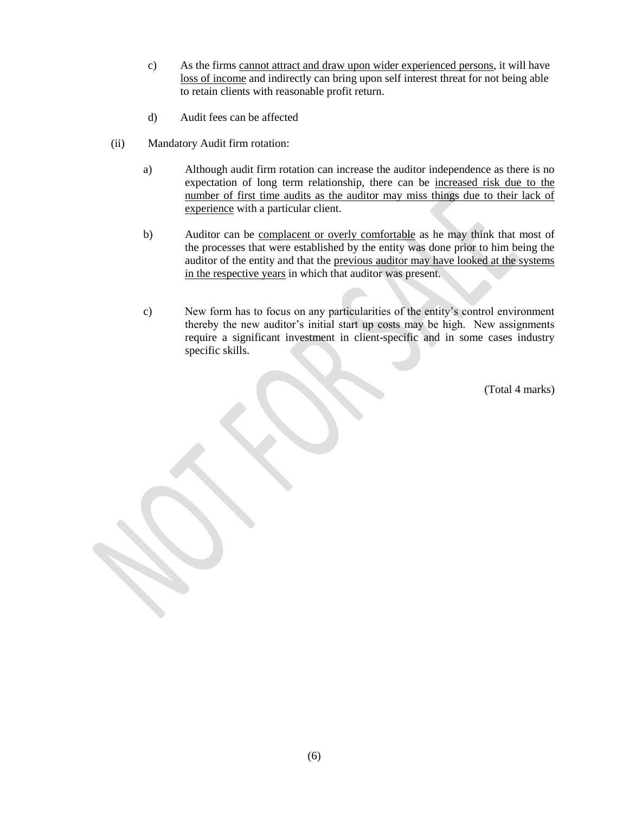- c) As the firms cannot attract and draw upon wider experienced persons, it will have loss of income and indirectly can bring upon self interest threat for not being able to retain clients with reasonable profit return.
- d) Audit fees can be affected
- (ii) Mandatory Audit firm rotation:
	- a) Although audit firm rotation can increase the auditor independence as there is no expectation of long term relationship, there can be increased risk due to the number of first time audits as the auditor may miss things due to their lack of experience with a particular client.
	- b) Auditor can be complacent or overly comfortable as he may think that most of the processes that were established by the entity was done prior to him being the auditor of the entity and that the previous auditor may have looked at the systems in the respective years in which that auditor was present.
	- c) New form has to focus on any particularities of the entity"s control environment thereby the new auditor"s initial start up costs may be high. New assignments require a significant investment in client-specific and in some cases industry specific skills.

(Total 4 marks)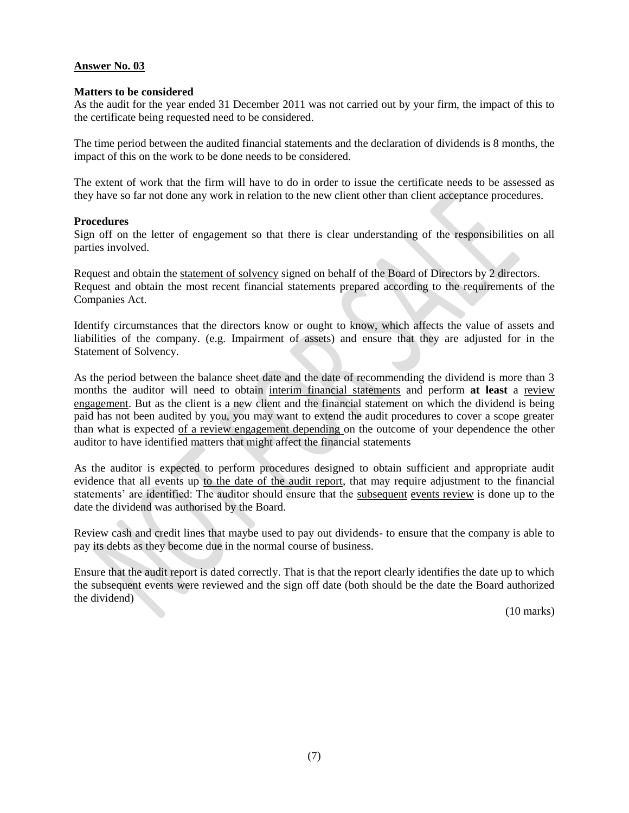#### **Matters to be considered**

As the audit for the year ended 31 December 2011 was not carried out by your firm, the impact of this to the certificate being requested need to be considered.

The time period between the audited financial statements and the declaration of dividends is 8 months, the impact of this on the work to be done needs to be considered.

The extent of work that the firm will have to do in order to issue the certificate needs to be assessed as they have so far not done any work in relation to the new client other than client acceptance procedures.

#### **Procedures**

Sign off on the letter of engagement so that there is clear understanding of the responsibilities on all parties involved.

Request and obtain the statement of solvency signed on behalf of the Board of Directors by 2 directors. Request and obtain the most recent financial statements prepared according to the requirements of the Companies Act.

Identify circumstances that the directors know or ought to know, which affects the value of assets and liabilities of the company. (e.g. Impairment of assets) and ensure that they are adjusted for in the Statement of Solvency.

As the period between the balance sheet date and the date of recommending the dividend is more than 3 months the auditor will need to obtain interim financial statements and perform **at least** a review engagement. But as the client is a new client and the financial statement on which the dividend is being paid has not been audited by you, you may want to extend the audit procedures to cover a scope greater than what is expected of a review engagement depending on the outcome of your dependence the other auditor to have identified matters that might affect the financial statements

As the auditor is expected to perform procedures designed to obtain sufficient and appropriate audit evidence that all events up to the date of the audit report, that may require adjustment to the financial statements' are identified: The auditor should ensure that the subsequent events review is done up to the date the dividend was authorised by the Board.

Review cash and credit lines that maybe used to pay out dividends- to ensure that the company is able to pay its debts as they become due in the normal course of business.

Ensure that the audit report is dated correctly. That is that the report clearly identifies the date up to which the subsequent events were reviewed and the sign off date (both should be the date the Board authorized the dividend)

(10 marks)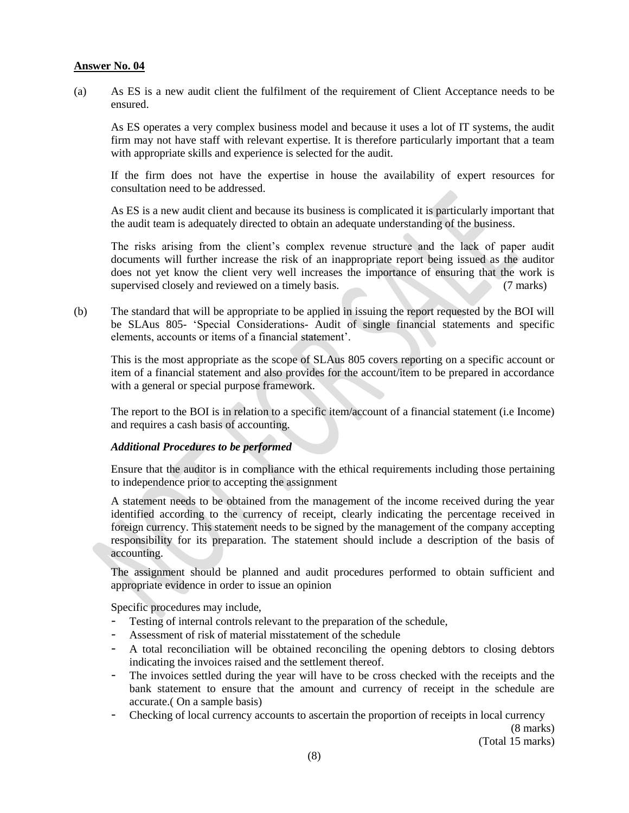(a) As ES is a new audit client the fulfilment of the requirement of Client Acceptance needs to be ensured.

As ES operates a very complex business model and because it uses a lot of IT systems, the audit firm may not have staff with relevant expertise. It is therefore particularly important that a team with appropriate skills and experience is selected for the audit.

If the firm does not have the expertise in house the availability of expert resources for consultation need to be addressed.

As ES is a new audit client and because its business is complicated it is particularly important that the audit team is adequately directed to obtain an adequate understanding of the business.

The risks arising from the client"s complex revenue structure and the lack of paper audit documents will further increase the risk of an inappropriate report being issued as the auditor does not yet know the client very well increases the importance of ensuring that the work is supervised closely and reviewed on a timely basis. (7 marks)

(b) The standard that will be appropriate to be applied in issuing the report requested by the BOI will be SLAus 805- "Special Considerations- Audit of single financial statements and specific elements, accounts or items of a financial statement".

This is the most appropriate as the scope of SLAus 805 covers reporting on a specific account or item of a financial statement and also provides for the account/item to be prepared in accordance with a general or special purpose framework.

The report to the BOI is in relation to a specific item/account of a financial statement (i.e Income) and requires a cash basis of accounting.

#### *Additional Procedures to be performed*

Ensure that the auditor is in compliance with the ethical requirements including those pertaining to independence prior to accepting the assignment

A statement needs to be obtained from the management of the income received during the year identified according to the currency of receipt, clearly indicating the percentage received in foreign currency. This statement needs to be signed by the management of the company accepting responsibility for its preparation. The statement should include a description of the basis of accounting.

The assignment should be planned and audit procedures performed to obtain sufficient and appropriate evidence in order to issue an opinion

Specific procedures may include,

- Testing of internal controls relevant to the preparation of the schedule,
- Assessment of risk of material misstatement of the schedule
- A total reconciliation will be obtained reconciling the opening debtors to closing debtors indicating the invoices raised and the settlement thereof.
- The invoices settled during the year will have to be cross checked with the receipts and the bank statement to ensure that the amount and currency of receipt in the schedule are accurate.( On a sample basis)
- Checking of local currency accounts to ascertain the proportion of receipts in local currency

(8 marks) (Total 15 marks)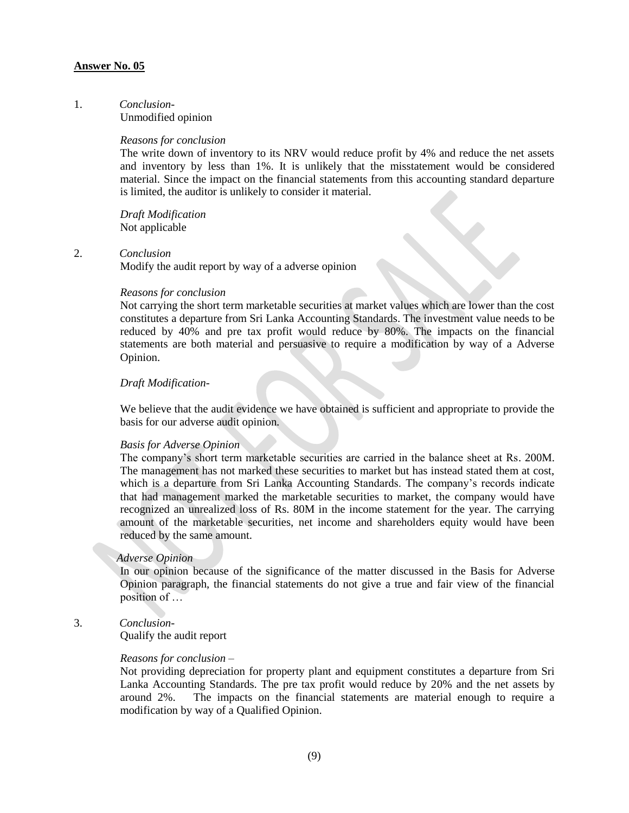#### 1. *Conclusion*-

Unmodified opinion

#### *Reasons for conclusion*

The write down of inventory to its NRV would reduce profit by 4% and reduce the net assets and inventory by less than 1%. It is unlikely that the misstatement would be considered material. Since the impact on the financial statements from this accounting standard departure is limited, the auditor is unlikely to consider it material.

*Draft Modification* Not applicable

#### 2. *Conclusion*

Modify the audit report by way of a adverse opinion

#### *Reasons for conclusion*

Not carrying the short term marketable securities at market values which are lower than the cost constitutes a departure from Sri Lanka Accounting Standards. The investment value needs to be reduced by 40% and pre tax profit would reduce by 80%. The impacts on the financial statements are both material and persuasive to require a modification by way of a Adverse Opinion.

#### *Draft Modification*-

We believe that the audit evidence we have obtained is sufficient and appropriate to provide the basis for our adverse audit opinion*.*

#### *Basis for Adverse Opinion*

The company's short term marketable securities are carried in the balance sheet at Rs. 200M. The management has not marked these securities to market but has instead stated them at cost, which is a departure from Sri Lanka Accounting Standards. The company's records indicate that had management marked the marketable securities to market, the company would have recognized an unrealized loss of Rs. 80M in the income statement for the year. The carrying amount of the marketable securities, net income and shareholders equity would have been reduced by the same amount.

#### *Adverse Opinion*

In our opinion because of the significance of the matter discussed in the Basis for Adverse Opinion paragraph, the financial statements do not give a true and fair view of the financial position of …

#### 3. *Conclusion*-

Qualify the audit report

#### *Reasons for conclusion* –

Not providing depreciation for property plant and equipment constitutes a departure from Sri Lanka Accounting Standards. The pre tax profit would reduce by 20% and the net assets by around 2%. The impacts on the financial statements are material enough to require a modification by way of a Qualified Opinion.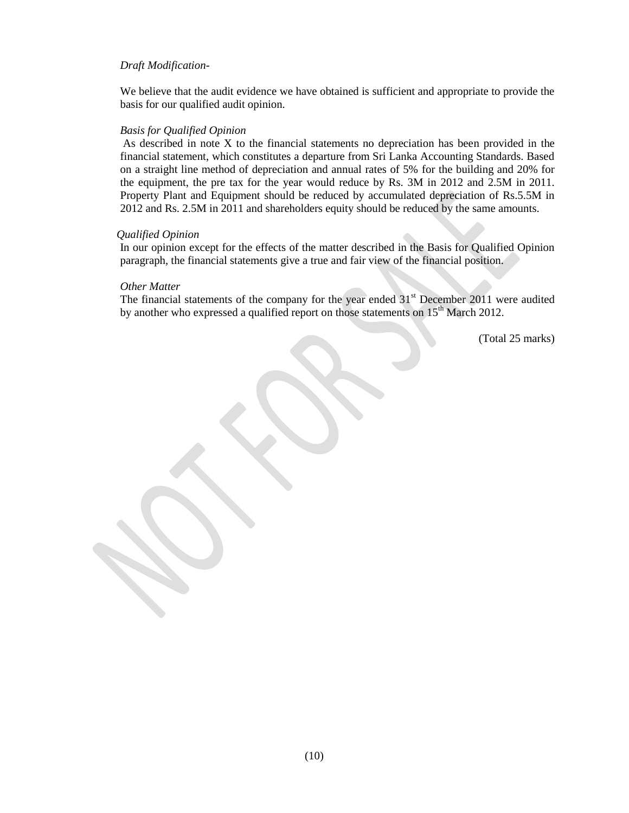#### *Draft Modification*-

We believe that the audit evidence we have obtained is sufficient and appropriate to provide the basis for our qualified audit opinion*.*

#### *Basis for Qualified Opinion*

As described in note X to the financial statements no depreciation has been provided in the financial statement, which constitutes a departure from Sri Lanka Accounting Standards. Based on a straight line method of depreciation and annual rates of 5% for the building and 20% for the equipment, the pre tax for the year would reduce by Rs. 3M in 2012 and 2.5M in 2011. Property Plant and Equipment should be reduced by accumulated depreciation of Rs.5.5M in 2012 and Rs. 2.5M in 2011 and shareholders equity should be reduced by the same amounts.

#### *Qualified Opinion*

In our opinion except for the effects of the matter described in the Basis for Qualified Opinion paragraph, the financial statements give a true and fair view of the financial position.

#### *Other Matter*

The financial statements of the company for the year ended 31<sup>st</sup> December 2011 were audited by another who expressed a qualified report on those statements on 15<sup>th</sup> March 2012.

(Total 25 marks)